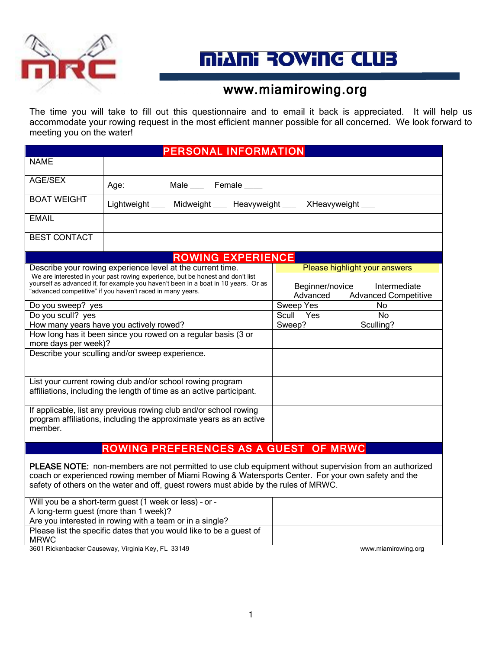

# **MiANi ROWING CLUB**

### www.miamirowing.org

The time you will take to fill out this questionnaire and to email it back is appreciated. It will help us accommodate your rowing request in the most efficient manner possible for all concerned. We look forward to meeting you on the water!

| <b>PERSONAL INFORMATION</b>                                                                                                                                                                                                                                                                      |                                                                                                                                         |                                                                                                             |  |  |  |
|--------------------------------------------------------------------------------------------------------------------------------------------------------------------------------------------------------------------------------------------------------------------------------------------------|-----------------------------------------------------------------------------------------------------------------------------------------|-------------------------------------------------------------------------------------------------------------|--|--|--|
| <b>NAME</b>                                                                                                                                                                                                                                                                                      |                                                                                                                                         |                                                                                                             |  |  |  |
| AGE/SEX                                                                                                                                                                                                                                                                                          |                                                                                                                                         |                                                                                                             |  |  |  |
|                                                                                                                                                                                                                                                                                                  | Male ____ Female ____<br>Age:                                                                                                           |                                                                                                             |  |  |  |
| <b>BOAT WEIGHT</b>                                                                                                                                                                                                                                                                               | Lightweight ___ Midweight ___ Heavyweight ___ XHeavyweight ___                                                                          |                                                                                                             |  |  |  |
| <b>EMAIL</b>                                                                                                                                                                                                                                                                                     |                                                                                                                                         |                                                                                                             |  |  |  |
| <b>BEST CONTACT</b>                                                                                                                                                                                                                                                                              |                                                                                                                                         |                                                                                                             |  |  |  |
| <b>ROWING EXPERIENCE</b>                                                                                                                                                                                                                                                                         |                                                                                                                                         |                                                                                                             |  |  |  |
| Describe your rowing experience level at the current time.<br>We are interested in your past rowing experience, but be honest and don't list<br>yourself as advanced if, for example you haven't been in a boat in 10 years. Or as<br>"advanced competitive" if you haven't raced in many years. |                                                                                                                                         | Please highlight your answers<br>Beginner/novice<br>Intermediate<br>Advanced<br><b>Advanced Competitive</b> |  |  |  |
| Do you sweep? yes                                                                                                                                                                                                                                                                                |                                                                                                                                         | Sweep Yes<br>No.                                                                                            |  |  |  |
| Do you scull? yes                                                                                                                                                                                                                                                                                |                                                                                                                                         | No<br>Scull Yes                                                                                             |  |  |  |
|                                                                                                                                                                                                                                                                                                  | How many years have you actively rowed?                                                                                                 | Sculling?<br>Sweep?                                                                                         |  |  |  |
| more days per week)?                                                                                                                                                                                                                                                                             | How long has it been since you rowed on a regular basis (3 or                                                                           |                                                                                                             |  |  |  |
|                                                                                                                                                                                                                                                                                                  | Describe your sculling and/or sweep experience.                                                                                         |                                                                                                             |  |  |  |
|                                                                                                                                                                                                                                                                                                  | List your current rowing club and/or school rowing program<br>affiliations, including the length of time as an active participant.      |                                                                                                             |  |  |  |
| member.                                                                                                                                                                                                                                                                                          | If applicable, list any previous rowing club and/or school rowing<br>program affiliations, including the approximate years as an active |                                                                                                             |  |  |  |
| ROWING PREFERENCES AS A GUEST OF MRWC                                                                                                                                                                                                                                                            |                                                                                                                                         |                                                                                                             |  |  |  |
| PLEASE NOTE: non-members are not permitted to use club equipment without supervision from an authorized                                                                                                                                                                                          |                                                                                                                                         |                                                                                                             |  |  |  |

coach or experienced rowing member of Miami Rowing & Watersports Center. For your own safety and the safety of others on the water and off, guest rowers must abide by the rules of MRWC.

| Will you be a short-term guest (1 week or less) - or -              |  |
|---------------------------------------------------------------------|--|
| A long-term guest (more than 1 week)?                               |  |
| Are you interested in rowing with a team or in a single?            |  |
| Please list the specific dates that you would like to be a guest of |  |
| <b>MRWC</b>                                                         |  |
|                                                                     |  |

3601 Rickenbacker Causeway, Virginia Key, FL 33149 www.miamirowing.org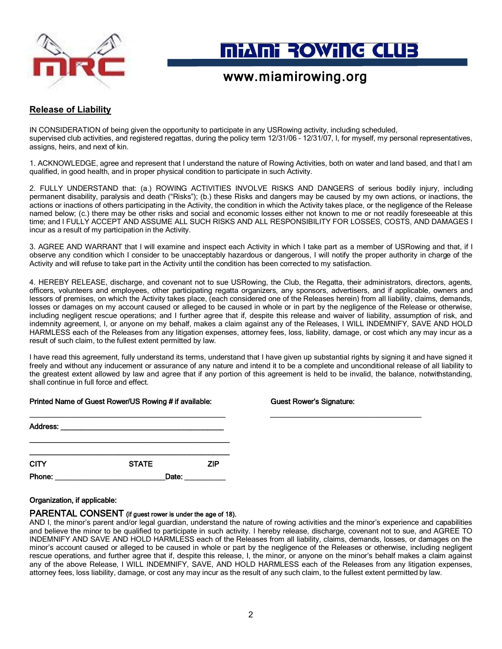

# **MIANI ROWING CLUB**

### www.miamirowing.org

### **Release of Liability**

IN CONSIDERATION of being given the opportunity to participate in any USRowing activity, including scheduled, supervised club activities, and registered regattas, during the policy term 12/31/06 – 12/31/07, I, for myself, my personal representatives, assigns, heirs, and next of kin.

1. ACKNOWLEDGE, agree and represent that I understand the nature of Rowing Activities, both on water and land based, and that I am qualified, in good health, and in proper physical condition to participate in such Activity.

2. FULLY UNDERSTAND that: (a.) ROWING ACTIVITIES INVOLVE RISKS AND DANGERS of serious bodily injury, including permanent disability, paralysis and death ("Risks"); (b.) these Risks and dangers may be caused by my own actions, or inactions, the actions or inactions of others participating in the Activity, the condition in which the Activity takes place, or the negligence of the Release named below; (c.) there may be other risks and social and economic losses either not known to me or not readily foreseeable at this time; and I FULLY ACCEPT AND ASSUME ALL SUCH RISKS AND ALL RESPONSIBILITY FOR LOSSES, COSTS, AND DAMAGES I incur as a result of my participation in the Activity.

3. AGREE AND WARRANT that I will examine and inspect each Activity in which I take part as a member of USRowing and that, if I observe any condition which I consider to be unacceptably hazardous or dangerous, I will notify the proper authority in charge of the Activity and will refuse to take part in the Activity until the condition has been corrected to my satisfaction.

4. HEREBY RELEASE, discharge, and covenant not to sue USRowing, the Club, the Regatta, their administrators, directors, agents, officers, volunteers and employees, other participating regatta organizers, any sponsors, advertisers, and if applicable, owners and lessors of premises, on which the Activity takes place, (each considered one of the Releases herein) from all liability, claims, demands, losses or damages on my account caused or alleged to be caused in whole or in part by the negligence of the Release or otherwise, including negligent rescue operations; and I further agree that if, despite this release and waiver of liability, assumption of risk, and indemnity agreement, I, or anyone on my behalf, makes a claim against any of the Releases, I WILL INDEMNIFY, SAVE AND HOLD HARMLESS each of the Releases from any litigation expenses, attorney fees, loss, liability, damage, or cost which any may incur as a result of such claim, to the fullest extent permitted by law.

I have read this agreement, fully understand its terms, understand that I have given up substantial rights by signing it and have signed it freely and without any inducement or assurance of any nature and intend it to be a complete and unconditional release of all liability to the greatest extent allowed by law and agree that if any portion of this agreement is held to be invalid, the balance, notwithstanding, shall continue in full force and effect.

|             | . .                                                         |            |
|-------------|-------------------------------------------------------------|------------|
| Address:    | <u> 1989 - Johann Stein, Amerikaansk politiker (* 1958)</u> |            |
|             |                                                             |            |
| <b>CITY</b> | <b>STATE</b>                                                | <b>ZIP</b> |
| Phone:      | Date:                                                       |            |

### Printed Name of Guest Rower/US Rowing # if available: Guest Rower's Signature:

#### Organization, if applicable:

#### PARENTAL CONSENT (if guest rower is under the age of 18).

AND I, the minor's parent and/or legal guardian, understand the nature of rowing activities and the minor's experience and capabilities and believe the minor to be qualified to participate in such activity. I hereby release, discharge, covenant not to sue, and AGREE TO INDEMNIFY AND SAVE AND HOLD HARMLESS each of the Releases from all liability, claims, demands, losses, or damages on the minor's account caused or alleged to be caused in whole or part by the negligence of the Releases or otherwise, including negligent rescue operations, and further agree that if, despite this release, I, the minor, or anyone on the minor's behalf makes a claim against any of the above Release, I WILL INDEMNIFY, SAVE, AND HOLD HARMLESS each of the Releases from any litigation expenses, attorney fees, loss liability, damage, or cost any may incur as the result of any such claim, to the fullest extent permitted by law.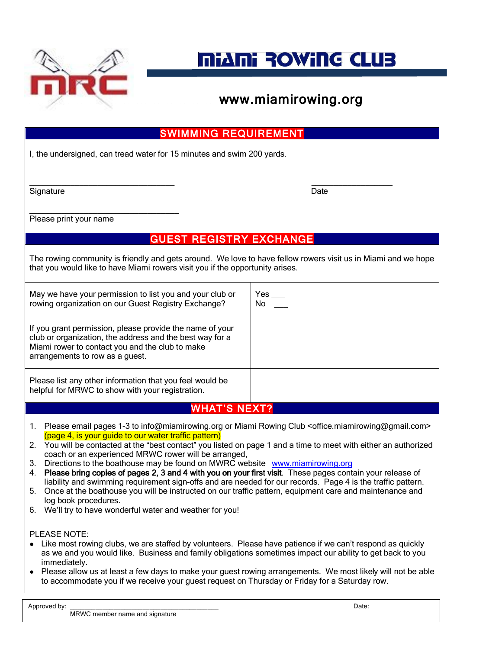

# **MiANi ROWING CLUB**

| <b>SWIMMING REQUIREMENT</b>                                                                                                                                                                                                                                                                                                                                                                                                                                                                                                                                                                                                                                                                                                                                                                                                                                                                                                |           |  |  |  |  |
|----------------------------------------------------------------------------------------------------------------------------------------------------------------------------------------------------------------------------------------------------------------------------------------------------------------------------------------------------------------------------------------------------------------------------------------------------------------------------------------------------------------------------------------------------------------------------------------------------------------------------------------------------------------------------------------------------------------------------------------------------------------------------------------------------------------------------------------------------------------------------------------------------------------------------|-----------|--|--|--|--|
| I, the undersigned, can tread water for 15 minutes and swim 200 yards.                                                                                                                                                                                                                                                                                                                                                                                                                                                                                                                                                                                                                                                                                                                                                                                                                                                     |           |  |  |  |  |
| Signature                                                                                                                                                                                                                                                                                                                                                                                                                                                                                                                                                                                                                                                                                                                                                                                                                                                                                                                  | Date      |  |  |  |  |
| Please print your name                                                                                                                                                                                                                                                                                                                                                                                                                                                                                                                                                                                                                                                                                                                                                                                                                                                                                                     |           |  |  |  |  |
| <b>GUEST REGISTRY EXCHANGE</b>                                                                                                                                                                                                                                                                                                                                                                                                                                                                                                                                                                                                                                                                                                                                                                                                                                                                                             |           |  |  |  |  |
| The rowing community is friendly and gets around. We love to have fellow rowers visit us in Miami and we hope<br>that you would like to have Miami rowers visit you if the opportunity arises.                                                                                                                                                                                                                                                                                                                                                                                                                                                                                                                                                                                                                                                                                                                             |           |  |  |  |  |
| May we have your permission to list you and your club or<br>rowing organization on our Guest Registry Exchange?                                                                                                                                                                                                                                                                                                                                                                                                                                                                                                                                                                                                                                                                                                                                                                                                            | Yes<br>No |  |  |  |  |
| If you grant permission, please provide the name of your<br>club or organization, the address and the best way for a<br>Miami rower to contact you and the club to make<br>arrangements to row as a guest.                                                                                                                                                                                                                                                                                                                                                                                                                                                                                                                                                                                                                                                                                                                 |           |  |  |  |  |
| Please list any other information that you feel would be<br>helpful for MRWC to show with your registration.                                                                                                                                                                                                                                                                                                                                                                                                                                                                                                                                                                                                                                                                                                                                                                                                               |           |  |  |  |  |
| <b>WHAT'S NEXT?</b>                                                                                                                                                                                                                                                                                                                                                                                                                                                                                                                                                                                                                                                                                                                                                                                                                                                                                                        |           |  |  |  |  |
| 1. Please email pages 1-3 to info@miamirowing.org or Miami Rowing Club <office.miamirowing@gmail.com><br/>(page 4, is your guide to our water traffic pattern)<br/>You will be contacted at the "best contact" you listed on page 1 and a time to meet with either an authorized<br/>2.<br/>coach or an experienced MRWC rower will be arranged,<br/>Directions to the boathouse may be found on MWRC website www.miamirowing.org<br/>3.<br/>Please bring copies of pages 2, 3 and 4 with you on your first visit. These pages contain your release of<br/>4.<br/>liability and swimming requirement sign-offs and are needed for our records. Page 4 is the traffic pattern.<br/>Once at the boathouse you will be instructed on our traffic pattern, equipment care and maintenance and<br/>5.<br/>log book procedures.<br/>We'll try to have wonderful water and weather for you!<br/>6.</office.miamirowing@gmail.com> |           |  |  |  |  |
| PLEASE NOTE:<br>Like most rowing clubs, we are staffed by volunteers. Please have patience if we can't respond as quickly<br>as we and you would like. Business and family obligations sometimes impact our ability to get back to you<br>immediately.<br>Please allow us at least a few days to make your guest rowing arrangements. We most likely will not be able<br>$\bullet$<br>to accommodate you if we receive your guest request on Thursday or Friday for a Saturday row.                                                                                                                                                                                                                                                                                                                                                                                                                                        |           |  |  |  |  |
| Approved by:                                                                                                                                                                                                                                                                                                                                                                                                                                                                                                                                                                                                                                                                                                                                                                                                                                                                                                               | Date:     |  |  |  |  |

MRWC member name and signature